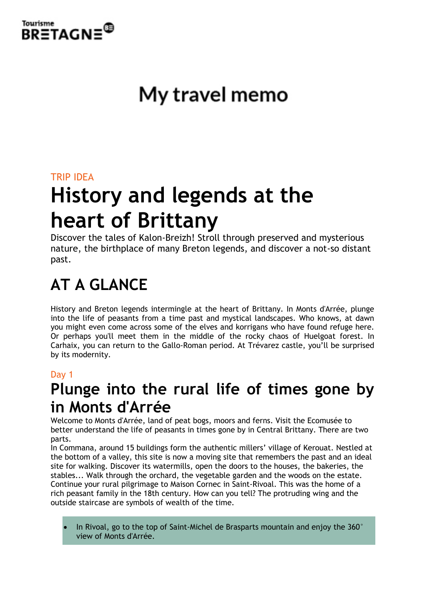

# My travel memo

### TRIP IDEA

# **History and legends at the heart of Brittany**

Discover the tales of Kalon-Breizh! Stroll through preserved and mysterious nature, the birthplace of many Breton legends, and discover a not-so distant past.

# **AT A GLANCE**

History and Breton legends intermingle at the heart of Brittany. In Monts d'Arrée, plunge into the life of peasants from a time past and mystical landscapes. Who knows, at dawn you might even come across some of the elves and korrigans who have found refuge here. Or perhaps you'll meet them in the middle of the rocky chaos of Huelgoat forest. In Carhaix, you can return to the Gallo-Roman period. At Trévarez castle, you'll be surprised by its modernity.

#### Day 1

# **Plunge into the rural life of times gone by in Monts d'Arrée**

Welcome to Monts d'Arrée, land of peat bogs, moors and ferns. Visit the Ecomusée to better understand the life of peasants in times gone by in Central Brittany. There are two parts.

In Commana, around 15 buildings form the authentic millers' village of Kerouat. Nestled at the bottom of a valley, this site is now a moving site that remembers the past and an ideal site for walking. Discover its watermills, open the doors to the houses, the bakeries, the stables... Walk through the orchard, the vegetable garden and the woods on the estate. Continue your rural pilgrimage to Maison Cornec in Saint-Rivoal. This was the home of a rich peasant family in the 18th century. How can you tell? The protruding wing and the outside staircase are symbols of wealth of the time.

In Rivoal, go to the top of Saint-Michel de Brasparts mountain and enjoy the  $360^{\circ}$ view of Monts d'Arrée.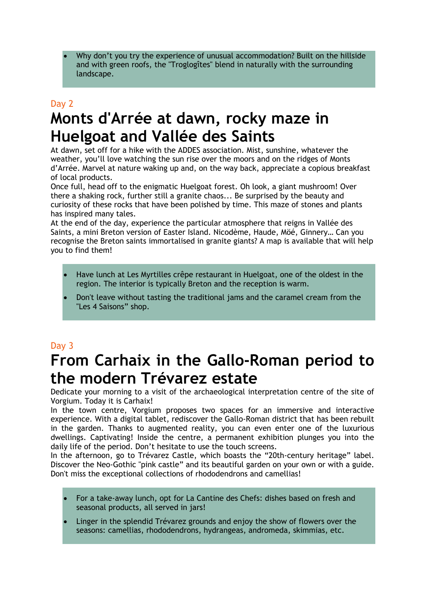• Why don't you try the experience of unusual accommodation? Built on the hillside and with green roofs, the "Troglogîtes" blend in naturally with the surrounding landscape.

## Day 2 **Monts d'Arrée at dawn, rocky maze in Huelgoat and Vallée des Saints**

At dawn, set off for a hike with the ADDES association. Mist, sunshine, whatever the weather, you'll love watching the sun rise over the moors and on the ridges of Monts d'Arrée. Marvel at nature waking up and, on the way back, appreciate a copious breakfast of local products.

Once full, head off to the enigmatic Huelgoat forest. Oh look, a giant mushroom! Over there a shaking rock, further still a granite chaos... Be surprised by the beauty and curiosity of these rocks that have been polished by time. This maze of stones and plants has inspired many tales.

At the end of the day, experience the particular atmosphere that reigns in Vallée des Saints, a mini Breton version of Easter Island. Nicodème, Haude, Möé, Ginnery… Can you recognise the Breton saints immortalised in granite giants? A map is available that will help you to find them!

- Have lunch at Les Myrtilles crêpe restaurant in Huelgoat, one of the oldest in the region. The interior is typically Breton and the reception is warm.
- Don't leave without tasting the traditional jams and the caramel cream from the "Les 4 Saisons" shop.

#### Day 3

# **From Carhaix in the Gallo-Roman period to the modern Trévarez estate**

Dedicate your morning to a visit of the archaeological interpretation centre of the site of Vorgium. Today it is Carhaix!

In the town centre, Vorgium proposes two spaces for an immersive and interactive experience. With a digital tablet, rediscover the Gallo-Roman district that has been rebuilt in the garden. Thanks to augmented reality, you can even enter one of the luxurious dwellings. Captivating! Inside the centre, a permanent exhibition plunges you into the daily life of the period. Don't hesitate to use the touch screens.

In the afternoon, go to Trévarez Castle, which boasts the "20th-century heritage" label. Discover the Neo-Gothic "pink castle" and its beautiful garden on your own or with a guide. Don't miss the exceptional collections of rhododendrons and camellias!

- For a take-away lunch, opt for La Cantine des Chefs: dishes based on fresh and seasonal products, all served in jars!
- Linger in the splendid Trévarez grounds and enjoy the show of flowers over the seasons: camellias, rhododendrons, hydrangeas, andromeda, skimmias, etc.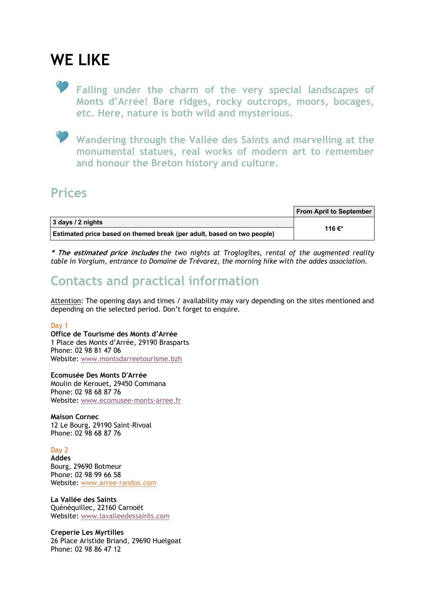## **WE LIKE**

**Falling under the charm of the very special landscapes of Monts d'Arrée! Bare ridges, rocky outcrops, moors, bocages, etc. Here, nature is both wild and mysterious.**

**Wandering through the Vallée des Saints and marvelling at the monumental statues, real works of modern art to remember and honour the Breton history and culture.**

### **Prices**

|                                                                        | <b>From April to September</b> |
|------------------------------------------------------------------------|--------------------------------|
| 3 days / 2 nights                                                      | 116 €*                         |
| Estimated price based on themed break (per adult, based on two people) |                                |

**\* The estimated price includes** *the two nights at Troglogîtes, rental of the augmented reality table in Vorgium, entrance to Domaine de Trévarez, the morning hike with the addes association.*

### **Contacts and practical information**

Attention: The opening days and times / availability may vary depending on the sites mentioned and depending on the selected period. Don't forget to enquire.

#### Day 1

**Office de Tourisme des Monts d'Arrée** 1 Place des Monts d'Arrée, 29190 Brasparts Phone: 02 98 81 47 06 Website: www.montsdarreetourisme.bzh

**Ecomusée Des Monts D'Arrée** Moulin de Kerouet, 29450 Commana Phone: 02 98 68 87 76 Website: www.ecomusee-monts-arree.fr

**Maison Cornec** 12 Le Bourg, 29190 Saint-Rivoal Phone: 02 98 68 87 76

#### Day 2

**Addes** Bourg, 29690 Botmeur Phone: 02 98 99 66 58 Website: www.arree-randos.com

**La Vallée des Saints** Quénéquillec, 22160 Carnoët Website: www.lavalleedessaints.com

**Creperie Les Myrtilles** 26 Place Aristide Briand, 29690 Huelgoat Phone: 02 98 86 47 12